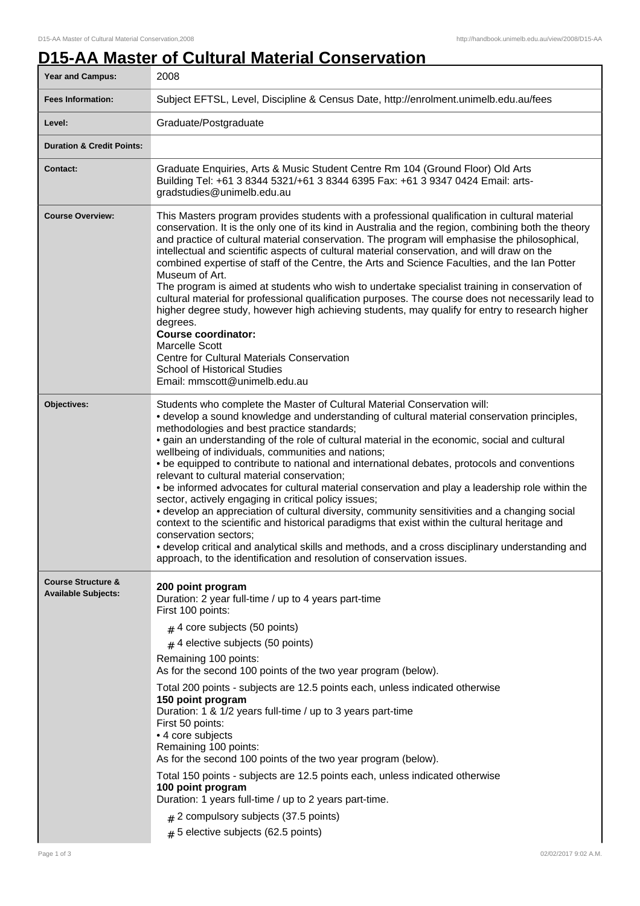## **D15-AA Master of Cultural Material Conservation**

| Year and Campus:                                            | 2008                                                                                                                                                                                                                                                                                                                                                                                                                                                                                                                                                                                                                                                                                                                                                                                                                                                                                                                                                                                                                                                                                               |
|-------------------------------------------------------------|----------------------------------------------------------------------------------------------------------------------------------------------------------------------------------------------------------------------------------------------------------------------------------------------------------------------------------------------------------------------------------------------------------------------------------------------------------------------------------------------------------------------------------------------------------------------------------------------------------------------------------------------------------------------------------------------------------------------------------------------------------------------------------------------------------------------------------------------------------------------------------------------------------------------------------------------------------------------------------------------------------------------------------------------------------------------------------------------------|
| <b>Fees Information:</b>                                    | Subject EFTSL, Level, Discipline & Census Date, http://enrolment.unimelb.edu.au/fees                                                                                                                                                                                                                                                                                                                                                                                                                                                                                                                                                                                                                                                                                                                                                                                                                                                                                                                                                                                                               |
| Level:                                                      | Graduate/Postgraduate                                                                                                                                                                                                                                                                                                                                                                                                                                                                                                                                                                                                                                                                                                                                                                                                                                                                                                                                                                                                                                                                              |
| <b>Duration &amp; Credit Points:</b>                        |                                                                                                                                                                                                                                                                                                                                                                                                                                                                                                                                                                                                                                                                                                                                                                                                                                                                                                                                                                                                                                                                                                    |
| <b>Contact:</b>                                             | Graduate Enquiries, Arts & Music Student Centre Rm 104 (Ground Floor) Old Arts<br>Building Tel: +61 3 8344 5321/+61 3 8344 6395 Fax: +61 3 9347 0424 Email: arts-<br>gradstudies@unimelb.edu.au                                                                                                                                                                                                                                                                                                                                                                                                                                                                                                                                                                                                                                                                                                                                                                                                                                                                                                    |
| <b>Course Overview:</b>                                     | This Masters program provides students with a professional qualification in cultural material<br>conservation. It is the only one of its kind in Australia and the region, combining both the theory<br>and practice of cultural material conservation. The program will emphasise the philosophical,<br>intellectual and scientific aspects of cultural material conservation, and will draw on the<br>combined expertise of staff of the Centre, the Arts and Science Faculties, and the Ian Potter<br>Museum of Art.<br>The program is aimed at students who wish to undertake specialist training in conservation of<br>cultural material for professional qualification purposes. The course does not necessarily lead to<br>higher degree study, however high achieving students, may qualify for entry to research higher<br>degrees.<br><b>Course coordinator:</b><br>Marcelle Scott<br>Centre for Cultural Materials Conservation<br><b>School of Historical Studies</b><br>Email: mmscott@unimelb.edu.au                                                                                 |
| Objectives:                                                 | Students who complete the Master of Cultural Material Conservation will:<br>• develop a sound knowledge and understanding of cultural material conservation principles,<br>methodologies and best practice standards;<br>• gain an understanding of the role of cultural material in the economic, social and cultural<br>wellbeing of individuals, communities and nations;<br>• be equipped to contribute to national and international debates, protocols and conventions<br>relevant to cultural material conservation;<br>. be informed advocates for cultural material conservation and play a leadership role within the<br>sector, actively engaging in critical policy issues;<br>• develop an appreciation of cultural diversity, community sensitivities and a changing social<br>context to the scientific and historical paradigms that exist within the cultural heritage and<br>conservation sectors;<br>• develop critical and analytical skills and methods, and a cross disciplinary understanding and<br>approach, to the identification and resolution of conservation issues. |
| <b>Course Structure &amp;</b><br><b>Available Subjects:</b> | 200 point program<br>Duration: 2 year full-time / up to 4 years part-time<br>First 100 points:<br>$#$ 4 core subjects (50 points)<br>$#$ 4 elective subjects (50 points)<br>Remaining 100 points:<br>As for the second 100 points of the two year program (below).<br>Total 200 points - subjects are 12.5 points each, unless indicated otherwise<br>150 point program<br>Duration: 1 & 1/2 years full-time / up to 3 years part-time<br>First 50 points:<br>• 4 core subjects<br>Remaining 100 points:<br>As for the second 100 points of the two year program (below).<br>Total 150 points - subjects are 12.5 points each, unless indicated otherwise<br>100 point program<br>Duration: 1 years full-time / up to 2 years part-time.<br>$#$ 2 compulsory subjects (37.5 points)<br>$# 5$ elective subjects (62.5 points)                                                                                                                                                                                                                                                                       |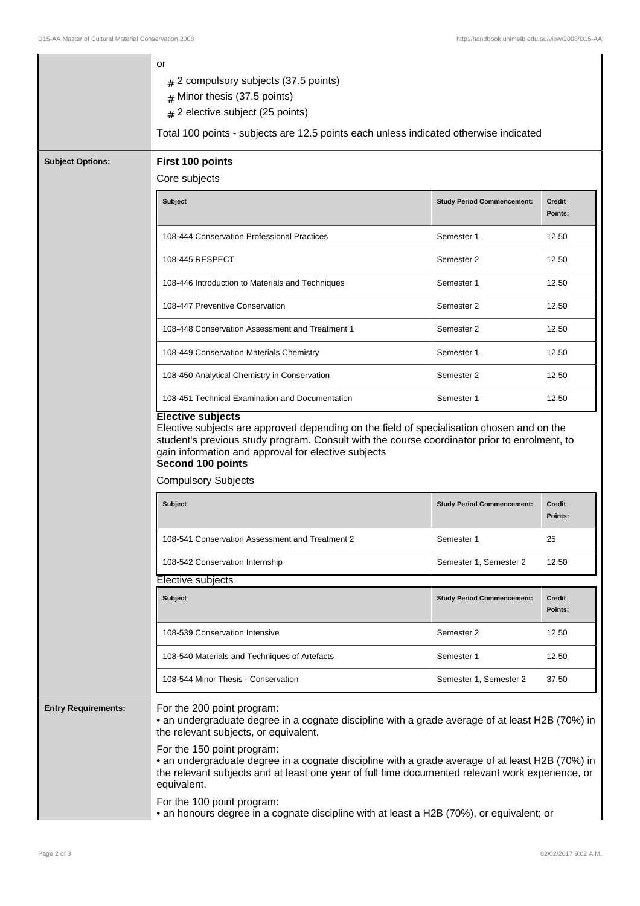|                            | or<br>2 compulsory subjects (37.5 points)<br>#<br>Minor thesis (37.5 points)<br>#<br>2 elective subject (25 points)<br>#<br>Total 100 points - subjects are 12.5 points each unless indicated otherwise indicated                                |                                   |                          |
|----------------------------|--------------------------------------------------------------------------------------------------------------------------------------------------------------------------------------------------------------------------------------------------|-----------------------------------|--------------------------|
| <b>Subject Options:</b>    | First 100 points                                                                                                                                                                                                                                 |                                   |                          |
|                            | Core subjects                                                                                                                                                                                                                                    |                                   |                          |
|                            | <b>Subject</b>                                                                                                                                                                                                                                   | <b>Study Period Commencement:</b> | <b>Credit</b><br>Points: |
|                            | 108-444 Conservation Professional Practices                                                                                                                                                                                                      | Semester 1                        | 12.50                    |
|                            | 108-445 RESPECT                                                                                                                                                                                                                                  | Semester 2                        | 12.50                    |
|                            | 108-446 Introduction to Materials and Techniques                                                                                                                                                                                                 | Semester 1                        | 12.50                    |
|                            | 108-447 Preventive Conservation                                                                                                                                                                                                                  | Semester 2                        | 12.50                    |
|                            | 108-448 Conservation Assessment and Treatment 1                                                                                                                                                                                                  | Semester 2                        | 12.50                    |
|                            | 108-449 Conservation Materials Chemistry                                                                                                                                                                                                         | Semester 1                        | 12.50                    |
|                            | 108-450 Analytical Chemistry in Conservation                                                                                                                                                                                                     | Semester 2                        | 12.50                    |
|                            | 108-451 Technical Examination and Documentation                                                                                                                                                                                                  | Semester 1                        | 12.50                    |
|                            | Second 100 points<br><b>Compulsory Subjects</b><br><b>Subject</b>                                                                                                                                                                                | <b>Study Period Commencement:</b> | <b>Credit</b><br>Points: |
|                            | 108-541 Conservation Assessment and Treatment 2                                                                                                                                                                                                  | Semester 1                        | 25                       |
|                            | 108-542 Conservation Internship                                                                                                                                                                                                                  | Semester 1, Semester 2            | 12.50                    |
|                            | Elective subjects                                                                                                                                                                                                                                |                                   |                          |
|                            | <b>Subject</b>                                                                                                                                                                                                                                   | <b>Study Period Commencement:</b> | <b>Credit</b><br>Points: |
|                            | 108-539 Conservation Intensive                                                                                                                                                                                                                   | Semester 2                        | 12.50                    |
|                            | 108-540 Materials and Techniques of Artefacts                                                                                                                                                                                                    | Semester 1                        | 12.50                    |
|                            | 108-544 Minor Thesis - Conservation                                                                                                                                                                                                              | Semester 1, Semester 2            | 37.50                    |
| <b>Entry Requirements:</b> | For the 200 point program:<br>• an undergraduate degree in a cognate discipline with a grade average of at least H2B (70%) in<br>the relevant subjects, or equivalent.                                                                           |                                   |                          |
|                            | For the 150 point program:<br>• an undergraduate degree in a cognate discipline with a grade average of at least H2B (70%) in<br>the relevant subjects and at least one year of full time documented relevant work experience, or<br>equivalent. |                                   |                          |
|                            | For the 100 point program:<br>• an honours degree in a cognate discipline with at least a H2B (70%), or equivalent; or                                                                                                                           |                                   |                          |